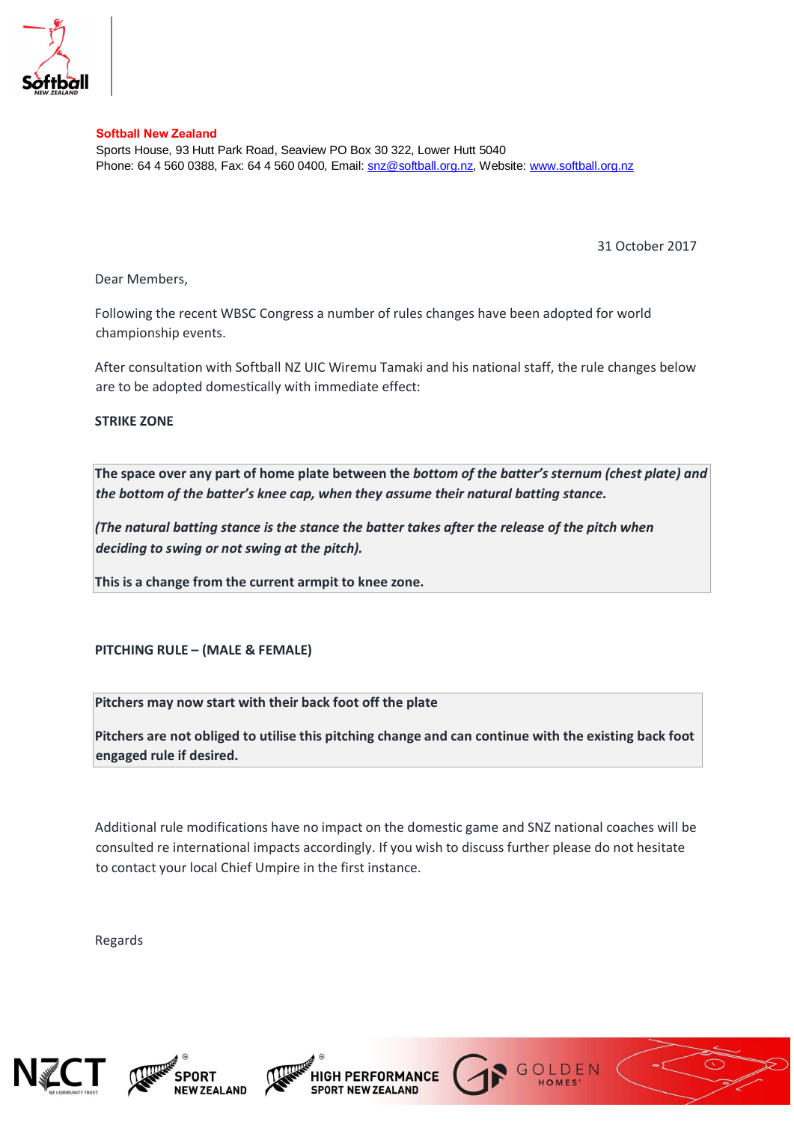

**Softball New Zealand** 

Sports House, 93 Hutt Park Road, Seaview PO Box 30 322, Lower Hutt 5040 Phone: 64 4 560 0388, Fax: 64 4 560 0400, Email: snz@softball.org.nz, Website: www.softball.org.nz

31 October 2017

Dear Members,

Following the recent WBSC Congress a number of rules changes have been adopted for world championship events.

After consultation with Softball NZ UIC Wiremu Tamaki and his national staff, the rule changes below are to be adopted domestically with immediate effect:

**STRIKE ZONE** 

**The space over any part of home plate between the** *bottom of the batter's sternum (chest plate) and the bottom of the batter's knee cap, when they assume their natural batting stance.* 

*(The natural batting stance is the stance the batter takes after the release of the pitch when deciding to swing or not swing at the pitch).* 

**This is a change from the current armpit to knee zone.** 

## **PITCHING RULE – (MALE & FEMALE)**

**Pitchers may now start with their back foot off the plate** 

**Pitchers are not obliged to utilise this pitching change and can continue with the existing back foot engaged rule if desired.** 

Additional rule modifications have no impact on the domestic game and SNZ national coaches will be consulted re international impacts accordingly. If you wish to discuss further please do not hesitate to contact your local Chief Umpire in the first instance.

Regards